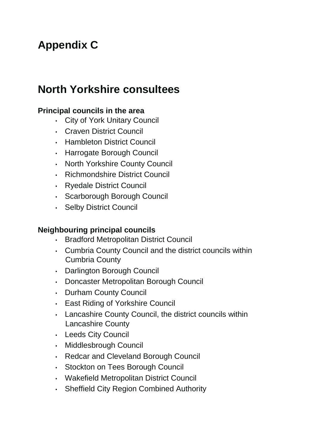# **Appendix C**

## **North Yorkshire consultees**

#### **Principal councils in the area**

- City of York Unitary Council
- Craven District Council
- Hambleton District Council
- Harrogate Borough Council
- North Yorkshire County Council
- Richmondshire District Council
- Ryedale District Council
- Scarborough Borough Council
- Selby District Council

#### **Neighbouring principal councils**

- Bradford Metropolitan District Council
- Cumbria County Council and the district councils within Cumbria County
- Darlington Borough Council
- Doncaster Metropolitan Borough Council
- Durham County Council
- East Riding of Yorkshire Council
- Lancashire County Council, the district councils within Lancashire County
- Leeds City Council
- Middlesbrough Council
- Redcar and Cleveland Borough Council
- Stockton on Tees Borough Council
- Wakefield Metropolitan District Council
- Sheffield City Region Combined Authority